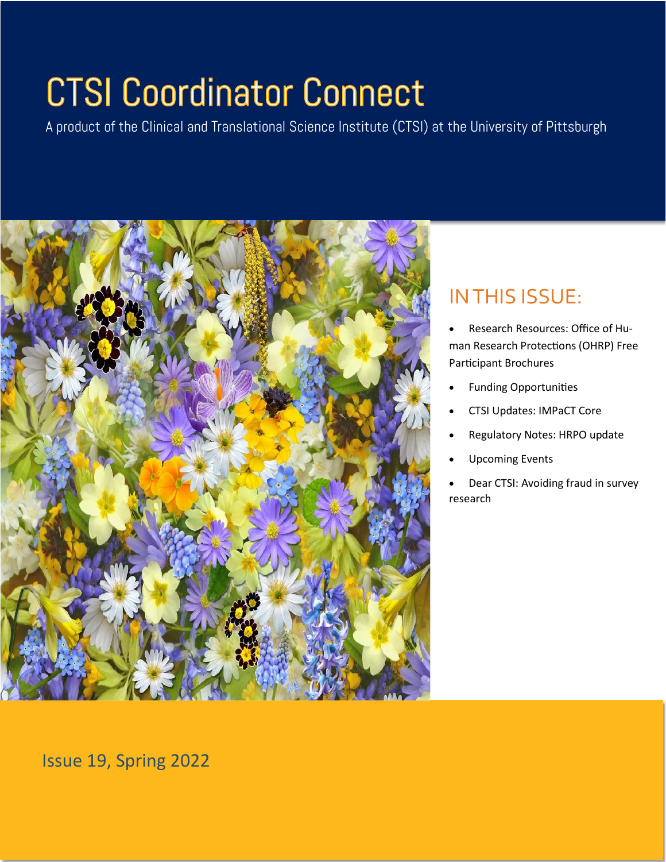# **CTSI Coordinator Connect**

A product of the Clinical and Translational Science Institute (CTSI) at the University of Pittsburgh



# IN THIS ISSUE:

• Research Resources: Office of Human Research Protections (OHRP) Free Participant Brochures

- Funding Opportunities
- CTSI Updates: IMPaCT Core
- Regulatory Notes: HRPO update
- Upcoming Events
- Dear CTSI: Avoiding fraud in survey research

Issue 19, Spring 2022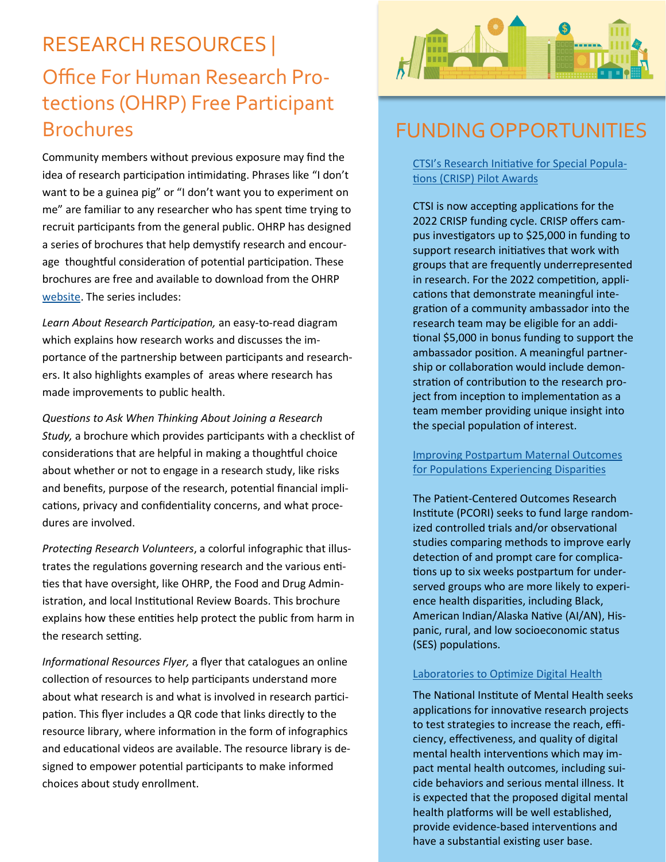# RESEARCH RESOURCES | Office For Human Research Protections (OHRP) Free Participant **Brochures**

Community members without previous exposure may find the idea of research participation intimidating. Phrases like "I don't want to be a guinea pig" or "I don't want you to experiment on me" are familiar to any researcher who has spent time trying to recruit participants from the general public. OHRP has designed a series of brochures that help demystify research and encourage thoughtful consideration of potential participation. These brochures are free and available to download from the OHRP [website.](https://www.hhs.gov/ohrp/education-and-outreach/about-research-participation/printable-educational-materials/index.html) The series includes:

*Learn About Research Participation,* an easy-to-read diagram which explains how research works and discusses the importance of the partnership between participants and researchers. It also highlights examples of areas where research has made improvements to public health.

*Questions to Ask When Thinking About Joining a Research Study,* a brochure which provides participants with a checklist of considerations that are helpful in making a thoughtful choice about whether or not to engage in a research study, like risks and benefits, purpose of the research, potential financial implications, privacy and confidentiality concerns, and what procedures are involved.

*Protecting Research Volunteers*, a colorful infographic that illustrates the regulations governing research and the various entities that have oversight, like OHRP, the Food and Drug Administration, and local Institutional Review Boards. This brochure explains how these entities help protect the public from harm in the research setting.

*Informational Resources Flyer,* a flyer that catalogues an online collection of resources to help participants understand more about what research is and what is involved in research participation. This flyer includes a QR code that links directly to the resource library, where information in the form of infographics and educational videos are available. The resource library is designed to empower potential participants to make informed choices about study enrollment.



## FUNDING OPPORTUNITIES

CTSI'[s Research Initiative for Special Popula](https://ctsi.pitt.edu/funding/funding-opportunities/crisp-ctsi-s-research-initiative-for-special-populations/)[tions \(CRISP\) Pilot Awards](https://ctsi.pitt.edu/funding/funding-opportunities/crisp-ctsi-s-research-initiative-for-special-populations/)

CTSI is now accepting applications for the 2022 CRISP funding cycle. CRISP offers campus investigators up to \$25,000 in funding to support research initiatives that work with groups that are frequently underrepresented in research. For the 2022 competition, applications that demonstrate meaningful integration of a community ambassador into the research team may be eligible for an additional \$5,000 in bonus funding to support the ambassador position. A meaningful partnership or collaboration would include demonstration of contribution to the research project from inception to implementation as a team member providing unique insight into the special population of interest.

[Improving Postpartum Maternal Outcomes](https://www.pcori.org/funding-opportunities/announcement/improving-postpartum-maternal-outcomes-populations-experiencing-disparities-cycle-2-2022)  [for Populations Experiencing Disparities](https://www.pcori.org/funding-opportunities/announcement/improving-postpartum-maternal-outcomes-populations-experiencing-disparities-cycle-2-2022)

The Patient-Centered Outcomes Research Institute (PCORI) seeks to fund large randomized controlled trials and/or observational studies comparing methods to improve early detection of and prompt care for complications up to six weeks postpartum for underserved groups who are more likely to experience health disparities, including Black, American Indian/Alaska Native (AI/AN), Hispanic, rural, and low socioeconomic status (SES) populations.

#### [Laboratories to Optimize Digital Health](https://grants.nih.gov/grants/guide/pa-files/PAR-22-154.html)

The National Institute of Mental Health seeks applications for innovative research projects to test strategies to increase the reach, efficiency, effectiveness, and quality of digital mental health interventions which may impact mental health outcomes, including suicide behaviors and serious mental illness. It is expected that the proposed digital mental health platforms will be well established, provide evidence-based interventions and have a substantial existing user base.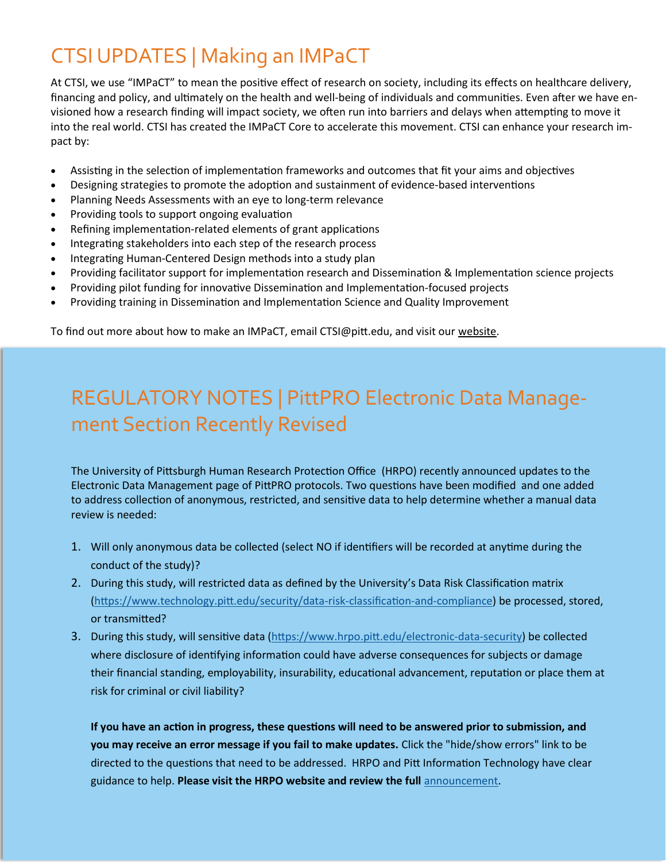# CTSI UPDATES | Making an IMPaCT

At CTSI, we use "IMPaCT" to mean the positive effect of research on society, including its effects on healthcare delivery, financing and policy, and ultimately on the health and well-being of individuals and communities. Even after we have envisioned how a research finding will impact society, we often run into barriers and delays when attempting to move it into the real world. CTSI has created the IMPaCT Core to accelerate this movement. CTSI can enhance your research impact by:

- Assisting in the selection of implementation frameworks and outcomes that fit your aims and objectives
- Designing strategies to promote the adoption and sustainment of evidence-based interventions
- Planning Needs Assessments with an eye to long-term relevance
- Providing tools to support ongoing evaluation
- Refining implementation-related elements of grant applications
- Integrating stakeholders into each step of the research process
- Integrating Human-Centered Design methods into a study plan
- Providing facilitator support for implementation research and Dissemination & Implementation science projects
- Providing pilot funding for innovative Dissemination and Implementation-focused projects
- Providing training in Dissemination and Implementation Science and Quality Improvement

To find out more about how to make an IMPaCT, email CTSI@pitt.edu, and visit our [website.](https://ctsi.pitt.edu/research-services/core-services/impact-core/)

# REGULATORY NOTES | PittPRO Electronic Data Management Section Recently Revised

The University of Pittsburgh Human Research Protection Office (HRPO) recently announced updates to the Electronic Data Management page of PittPRO protocols. Two questions have been modified and one added to address collection of anonymous, restricted, and sensitive data to help determine whether a manual data review is needed:

- 1. Will only anonymous data be collected (select NO if identifiers will be recorded at anytime during the conduct of the study)?
- 2. During this study, will restricted data as defined by the University's Data Risk Classification matrix ([https://www.technology.pitt.edu/security/data](https://www.technology.pitt.edu/security/data-risk-classification-and-compliance)-risk-classification-and-compliance) be processed, stored, or transmitted?
- 3. During this study, will sensitive data ([https://www.hrpo.pitt.edu/electronic](https://www.hrpo.pitt.edu/electronic-data-security)-data-security) be collected where disclosure of identifying information could have adverse consequences for subjects or damage their financial standing, employability, insurability, educational advancement, reputation or place them at risk for criminal or civil liability?

**If you have an action in progress, these questions will need to be answered prior to submission, and you may receive an error message if you fail to make updates.** Click the "hide/show errors" link to be directed to the questions that need to be addressed. HRPO and Pitt Information Technology have clear guidance to help. **Please visit the HRPO website and review the full** [announcement.](https://createsend.com/t/j-C2A208320B195B622540EF23F30FEDED)